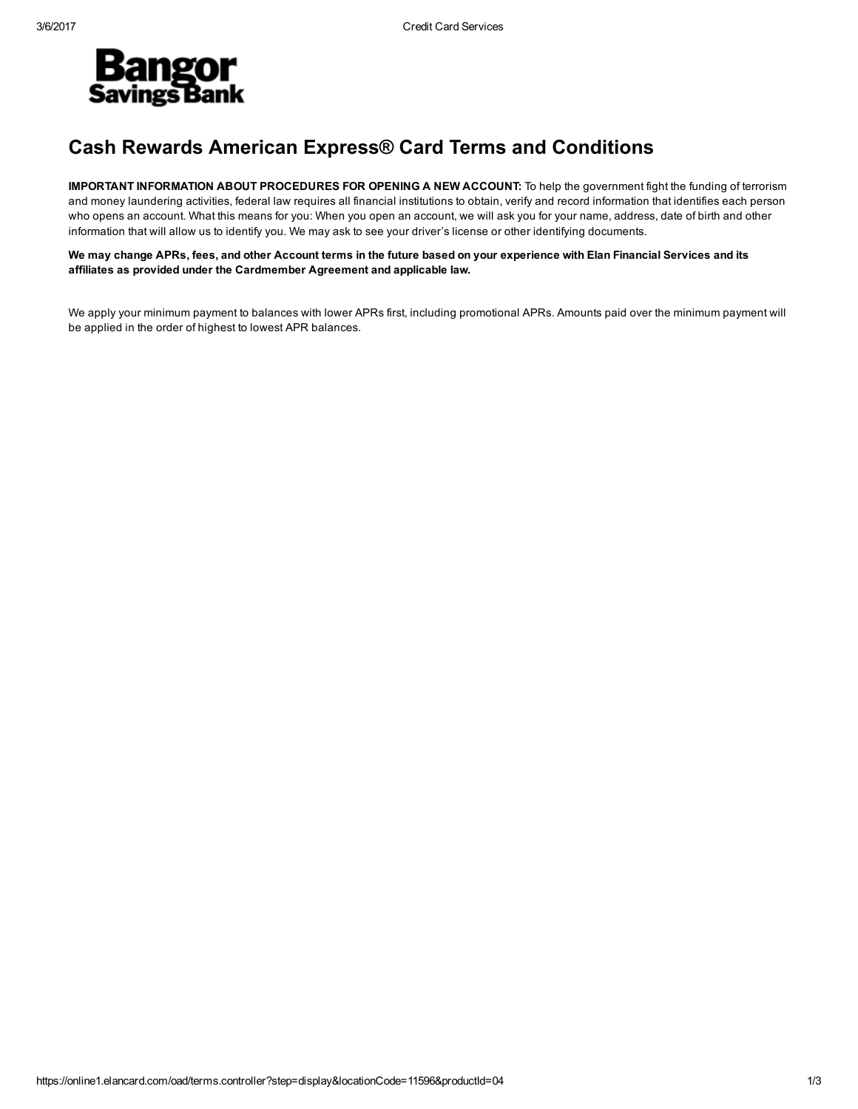

## Cash Rewards American Express® Card Terms and Conditions

IMPORTANT INFORMATION ABOUT PROCEDURES FOR OPENING A NEW ACCOUNT: To help the government fight the funding of terrorism and money laundering activities, federal law requires all financial institutions to obtain, verify and record information that identifies each person who opens an account. What this means for you: When you open an account, we will ask you for your name, address, date of birth and other information that will allow us to identify you. We may ask to see your driver's license or other identifying documents.

We may change APRs, fees, and other Account terms in the future based on your experience with Elan Financial Services and its affiliates as provided under the Cardmember Agreement and applicable law.

We apply your minimum payment to balances with lower APRs first, including promotional APRs. Amounts paid over the minimum payment will be applied in the order of highest to lowest APR balances.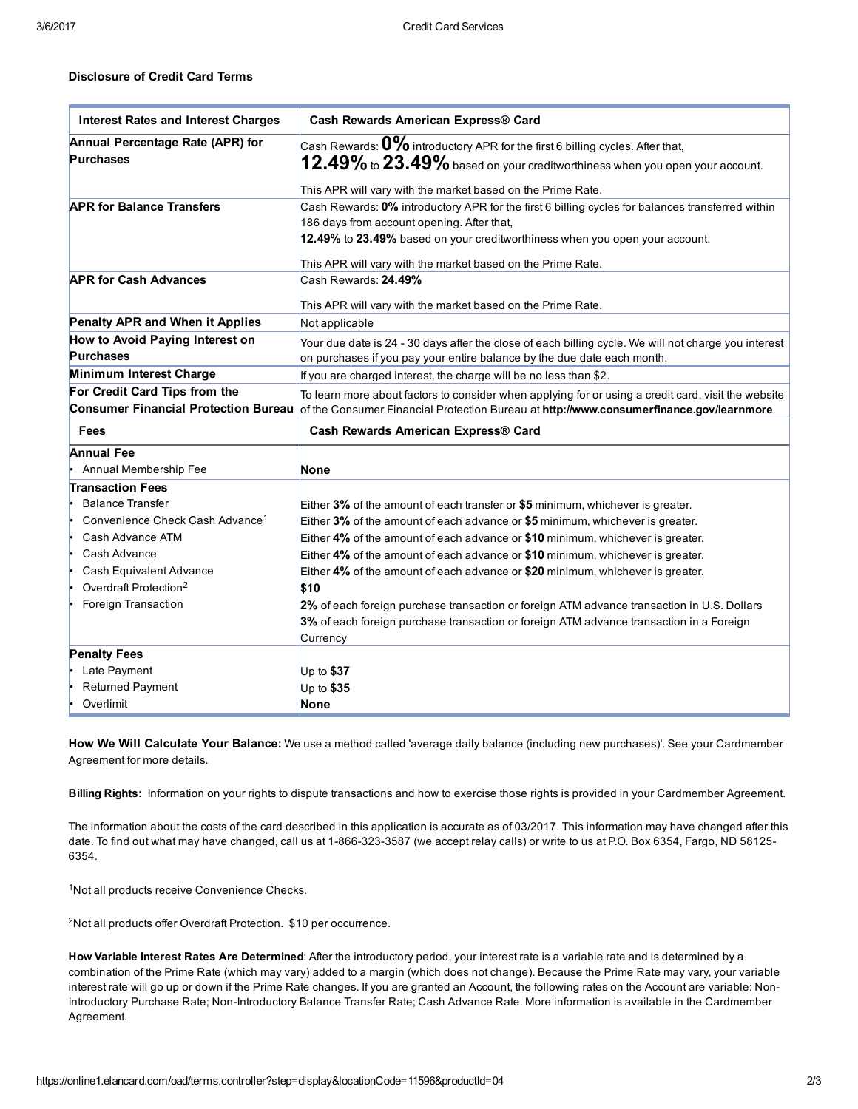## Disclosure of Credit Card Terms

| <b>Interest Rates and Interest Charges</b>  | Cash Rewards American Express® Card                                                                  |
|---------------------------------------------|------------------------------------------------------------------------------------------------------|
| Annual Percentage Rate (APR) for            | Cash Rewards: $\mathbf{0\%}$ introductory APR for the first 6 billing cycles. After that,            |
| <b>Purchases</b>                            | $12.49\%$ to $23.49\%$ based on your creditworthiness when you open your account.                    |
|                                             | This APR will vary with the market based on the Prime Rate.                                          |
| <b>APR for Balance Transfers</b>            | Cash Rewards: 0% introductory APR for the first 6 billing cycles for balances transferred within     |
|                                             | 186 days from account opening. After that,                                                           |
|                                             | 12.49% to 23.49% based on your creditworthiness when you open your account.                          |
|                                             | This APR will vary with the market based on the Prime Rate.                                          |
| <b>APR for Cash Advances</b>                | Cash Rewards: 24.49%                                                                                 |
|                                             |                                                                                                      |
|                                             | This APR will vary with the market based on the Prime Rate.                                          |
| Penalty APR and When it Applies             | Not applicable                                                                                       |
| How to Avoid Paying Interest on             | Your due date is 24 - 30 days after the close of each billing cycle. We will not charge you interest |
| <b>Purchases</b>                            | on purchases if you pay your entire balance by the due date each month.                              |
| Minimum Interest Charge                     | If you are charged interest, the charge will be no less than \$2.                                    |
| For Credit Card Tips from the               | To learn more about factors to consider when applying for or using a credit card, visit the website  |
| <b>Consumer Financial Protection Bureau</b> | of the Consumer Financial Protection Bureau at http://www.consumerfinance.gov/learnmore              |
| Fees                                        | Cash Rewards American Express® Card                                                                  |
| <b>Annual Fee</b>                           |                                                                                                      |
| Annual Membership Fee                       | <b>None</b>                                                                                          |
| <b>Transaction Fees</b>                     |                                                                                                      |
| <b>Balance Transfer</b>                     | Either $3\%$ of the amount of each transfer or $$5$ minimum, whichever is greater.                   |
| Convenience Check Cash Advance <sup>1</sup> | Either 3% of the amount of each advance or \$5 minimum, whichever is greater.                        |
| Cash Advance ATM                            | Either 4% of the amount of each advance or \$10 minimum, whichever is greater.                       |
| Cash Advance<br>۱.                          | Either 4% of the amount of each advance or \$10 minimum, whichever is greater.                       |
| Cash Equivalent Advance                     | Either 4% of the amount of each advance or \$20 minimum, whichever is greater.                       |
| Overdraft Protection <sup>2</sup>           | \$10                                                                                                 |
| Foreign Transaction                         | 2% of each foreign purchase transaction or foreign ATM advance transaction in U.S. Dollars           |
|                                             | 3% of each foreign purchase transaction or foreign ATM advance transaction in a Foreign              |
|                                             | Currency                                                                                             |
| <b>Penalty Fees</b>                         |                                                                                                      |
| Late Payment                                | Up to $$37$                                                                                          |
| <b>Returned Payment</b>                     | Up to \$35                                                                                           |
| Overlimit                                   | <b>None</b>                                                                                          |

How We Will Calculate Your Balance: We use a method called 'average daily balance (including new purchases)'. See your Cardmember Agreement for more details.

Billing Rights: Information on your rights to dispute transactions and how to exercise those rights is provided in your Cardmember Agreement.

The information about the costs of the card described in this application is accurate as of 03/2017. This information may have changed after this date. To find out what may have changed, call us at 1-866-323-3587 (we accept relay calls) or write to us at P.O. Box 6354, Fargo, ND 58125-6354.

<sup>1</sup>Not all products receive Convenience Checks.

<sup>2</sup>Not all products offer Overdraft Protection. \$10 per occurrence.

How Variable Interest Rates Are Determined: After the introductory period, your interest rate is a variable rate and is determined by a combination of the Prime Rate (which may vary) added to a margin (which does not change). Because the Prime Rate may vary, your variable interest rate will go up or down if the Prime Rate changes. If you are granted an Account, the following rates on the Account are variable: Non-Introductory Purchase Rate; Non-Introductory Balance Transfer Rate; Cash Advance Rate. More information is available in the Cardmember Agreement.